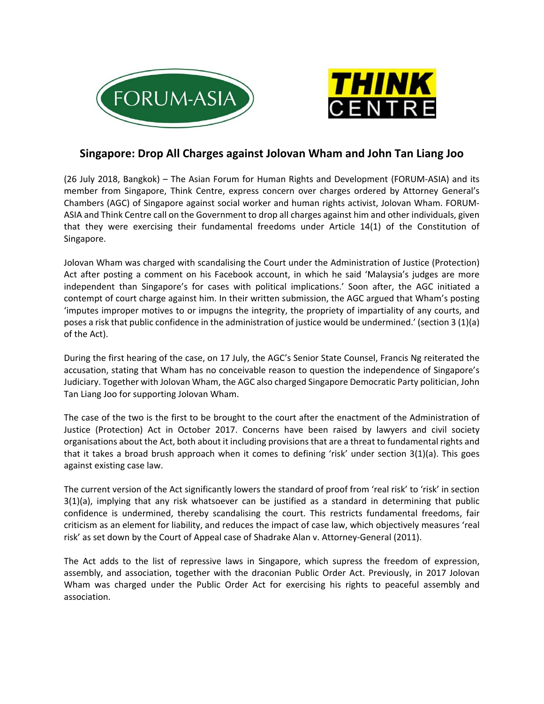



## **Singapore: Drop All Charges against Jolovan Wham and John Tan Liang Joo**

(26 July 2018, Bangkok) – The Asian Forum for Human Rights and Development (FORUM‐ASIA) and its member from Singapore, Think Centre, express concern over charges ordered by Attorney General's Chambers (AGC) of Singapore against social worker and human rights activist, Jolovan Wham. FORUM‐ ASIA and Think Centre call on the Government to drop all charges against him and other individuals, given that they were exercising their fundamental freedoms under Article 14(1) of the Constitution of Singapore.

Jolovan Wham was charged with scandalising the Court under the Administration of Justice (Protection) Act after posting a comment on his Facebook account, in which he said 'Malaysia's judges are more independent than Singapore's for cases with political implications.' Soon after, the AGC initiated a contempt of court charge against him. In their written submission, the AGC argued that Wham's posting 'imputes improper motives to or impugns the integrity, the propriety of impartiality of any courts, and poses a risk that public confidence in the administration of justice would be undermined.' (section 3 (1)(a) of the Act).

During the first hearing of the case, on 17 July, the AGC's Senior State Counsel, Francis Ng reiterated the accusation, stating that Wham has no conceivable reason to question the independence of Singapore's Judiciary. Together with Jolovan Wham, the AGC also charged Singapore Democratic Party politician, John Tan Liang Joo for supporting Jolovan Wham.

The case of the two is the first to be brought to the court after the enactment of the Administration of Justice (Protection) Act in October 2017. Concerns have been raised by lawyers and civil society organisations about the Act, both about it including provisions that are a threat to fundamental rights and that it takes a broad brush approach when it comes to defining 'risk' under section  $3(1)(a)$ . This goes against existing case law.

The current version of the Act significantly lowers the standard of proof from 'real risk' to 'risk' in section 3(1)(a), implying that any risk whatsoever can be justified as a standard in determining that public confidence is undermined, thereby scandalising the court. This restricts fundamental freedoms, fair criticism as an element for liability, and reduces the impact of case law, which objectively measures 'real risk' as set down by the Court of Appeal case of Shadrake Alan v. Attorney‐General (2011).

The Act adds to the list of repressive laws in Singapore, which supress the freedom of expression, assembly, and association, together with the draconian Public Order Act. Previously, in 2017 Jolovan Wham was charged under the Public Order Act for exercising his rights to peaceful assembly and association.